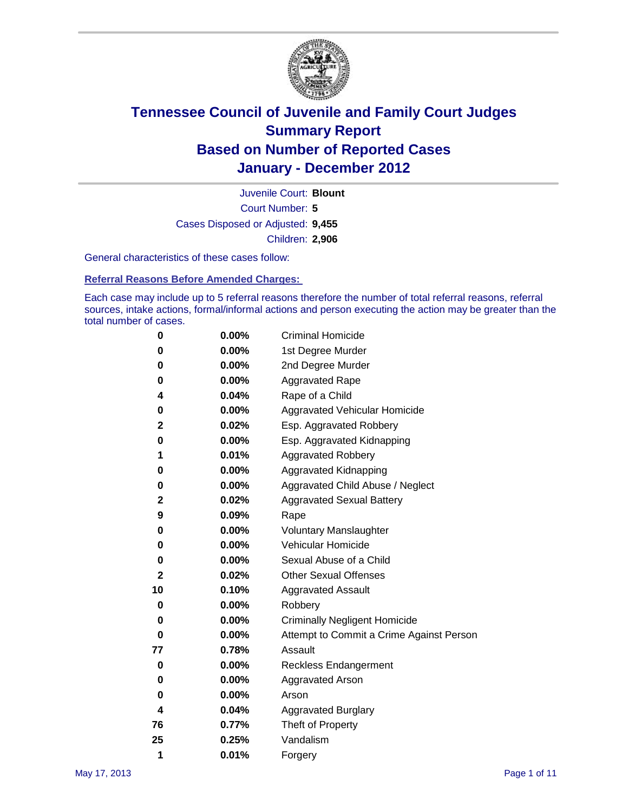

Court Number: **5** Juvenile Court: **Blount** Cases Disposed or Adjusted: **9,455** Children: **2,906**

General characteristics of these cases follow:

**Referral Reasons Before Amended Charges:** 

Each case may include up to 5 referral reasons therefore the number of total referral reasons, referral sources, intake actions, formal/informal actions and person executing the action may be greater than the total number of cases.

| 0  | 0.00%    | <b>Criminal Homicide</b>                 |
|----|----------|------------------------------------------|
| 0  | 0.00%    | 1st Degree Murder                        |
| 0  | 0.00%    | 2nd Degree Murder                        |
| 0  | 0.00%    | <b>Aggravated Rape</b>                   |
| 4  | 0.04%    | Rape of a Child                          |
| 0  | 0.00%    | Aggravated Vehicular Homicide            |
| 2  | 0.02%    | Esp. Aggravated Robbery                  |
| 0  | 0.00%    | Esp. Aggravated Kidnapping               |
| 1  | 0.01%    | <b>Aggravated Robbery</b>                |
| 0  | 0.00%    | Aggravated Kidnapping                    |
| 0  | 0.00%    | Aggravated Child Abuse / Neglect         |
| 2  | 0.02%    | <b>Aggravated Sexual Battery</b>         |
| 9  | 0.09%    | Rape                                     |
| 0  | $0.00\%$ | <b>Voluntary Manslaughter</b>            |
| 0  | 0.00%    | Vehicular Homicide                       |
| 0  | 0.00%    | Sexual Abuse of a Child                  |
| 2  | 0.02%    | <b>Other Sexual Offenses</b>             |
| 10 | 0.10%    | <b>Aggravated Assault</b>                |
| 0  | $0.00\%$ | Robbery                                  |
| 0  | 0.00%    | <b>Criminally Negligent Homicide</b>     |
| 0  | 0.00%    | Attempt to Commit a Crime Against Person |
| 77 | 0.78%    | Assault                                  |
| 0  | 0.00%    | <b>Reckless Endangerment</b>             |
| 0  | 0.00%    | <b>Aggravated Arson</b>                  |
| 0  | 0.00%    | Arson                                    |
| 4  | 0.04%    | <b>Aggravated Burglary</b>               |
| 76 | 0.77%    | Theft of Property                        |
| 25 | 0.25%    | Vandalism                                |
| 1  | 0.01%    | Forgery                                  |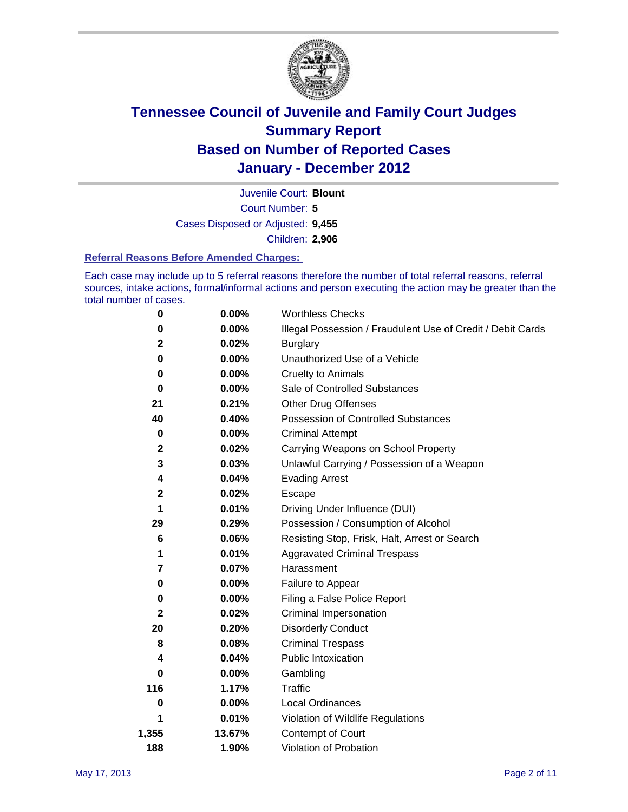

Court Number: **5** Juvenile Court: **Blount** Cases Disposed or Adjusted: **9,455** Children: **2,906**

#### **Referral Reasons Before Amended Charges:**

Each case may include up to 5 referral reasons therefore the number of total referral reasons, referral sources, intake actions, formal/informal actions and person executing the action may be greater than the total number of cases.

| 0     | 0.00%    | <b>Worthless Checks</b>                                     |  |  |
|-------|----------|-------------------------------------------------------------|--|--|
| 0     | 0.00%    | Illegal Possession / Fraudulent Use of Credit / Debit Cards |  |  |
| 2     | 0.02%    | <b>Burglary</b>                                             |  |  |
| 0     | $0.00\%$ | Unauthorized Use of a Vehicle                               |  |  |
| 0     | $0.00\%$ | <b>Cruelty to Animals</b>                                   |  |  |
| 0     | $0.00\%$ | Sale of Controlled Substances                               |  |  |
| 21    | 0.21%    | <b>Other Drug Offenses</b>                                  |  |  |
| 40    | 0.40%    | Possession of Controlled Substances                         |  |  |
| 0     | $0.00\%$ | <b>Criminal Attempt</b>                                     |  |  |
| 2     | 0.02%    | Carrying Weapons on School Property                         |  |  |
| 3     | 0.03%    | Unlawful Carrying / Possession of a Weapon                  |  |  |
| 4     | 0.04%    | <b>Evading Arrest</b>                                       |  |  |
| 2     | 0.02%    | Escape                                                      |  |  |
| 1     | 0.01%    | Driving Under Influence (DUI)                               |  |  |
| 29    | 0.29%    | Possession / Consumption of Alcohol                         |  |  |
| 6     | 0.06%    | Resisting Stop, Frisk, Halt, Arrest or Search               |  |  |
| 1     | 0.01%    | <b>Aggravated Criminal Trespass</b>                         |  |  |
| 7     | 0.07%    | Harassment                                                  |  |  |
| 0     | 0.00%    | Failure to Appear                                           |  |  |
| 0     | $0.00\%$ | Filing a False Police Report                                |  |  |
| 2     | 0.02%    | Criminal Impersonation                                      |  |  |
| 20    | 0.20%    | <b>Disorderly Conduct</b>                                   |  |  |
| 8     | 0.08%    | <b>Criminal Trespass</b>                                    |  |  |
| 4     | 0.04%    | <b>Public Intoxication</b>                                  |  |  |
| 0     | $0.00\%$ | Gambling                                                    |  |  |
| 116   | 1.17%    | <b>Traffic</b>                                              |  |  |
| 0     | $0.00\%$ | Local Ordinances                                            |  |  |
| 1     | 0.01%    | Violation of Wildlife Regulations                           |  |  |
| 1,355 | 13.67%   | Contempt of Court                                           |  |  |
| 188   | 1.90%    | Violation of Probation                                      |  |  |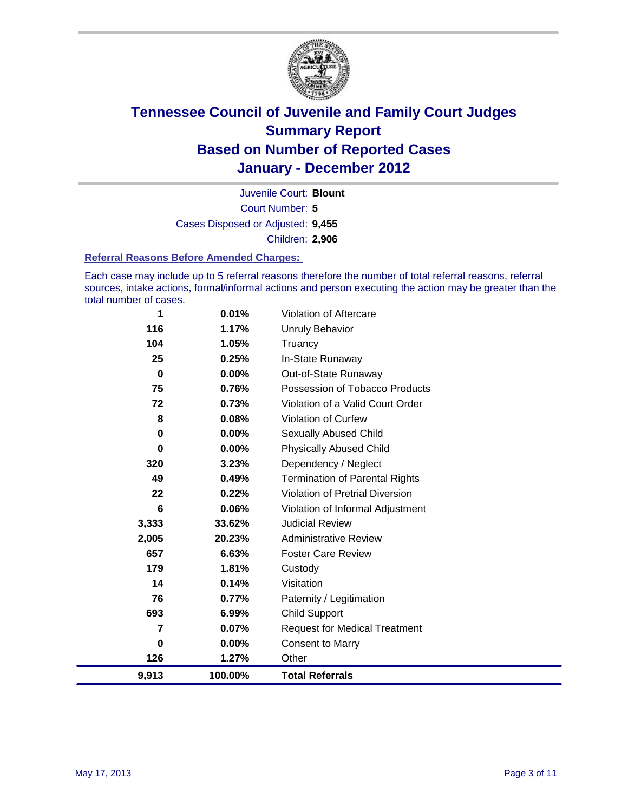

Court Number: **5** Juvenile Court: **Blount** Cases Disposed or Adjusted: **9,455** Children: **2,906**

#### **Referral Reasons Before Amended Charges:**

Each case may include up to 5 referral reasons therefore the number of total referral reasons, referral sources, intake actions, formal/informal actions and person executing the action may be greater than the total number of cases.

| 1        | 0.01%    | Violation of Aftercare                 |
|----------|----------|----------------------------------------|
| 116      | 1.17%    | <b>Unruly Behavior</b>                 |
| 104      | 1.05%    | Truancy                                |
| 25       | 0.25%    | In-State Runaway                       |
| $\bf{0}$ | 0.00%    | Out-of-State Runaway                   |
| 75       | 0.76%    | Possession of Tobacco Products         |
| 72       | 0.73%    | Violation of a Valid Court Order       |
| 8        | 0.08%    | Violation of Curfew                    |
| 0        | $0.00\%$ | <b>Sexually Abused Child</b>           |
| 0        | 0.00%    | <b>Physically Abused Child</b>         |
| 320      | 3.23%    | Dependency / Neglect                   |
| 49       | 0.49%    | <b>Termination of Parental Rights</b>  |
| 22       | 0.22%    | <b>Violation of Pretrial Diversion</b> |
| 6        | 0.06%    | Violation of Informal Adjustment       |
| 3,333    | 33.62%   | <b>Judicial Review</b>                 |
| 2,005    | 20.23%   | <b>Administrative Review</b>           |
| 657      | 6.63%    | <b>Foster Care Review</b>              |
| 179      | 1.81%    | Custody                                |
| 14       | 0.14%    | Visitation                             |
| 76       | 0.77%    | Paternity / Legitimation               |
| 693      | 6.99%    | <b>Child Support</b>                   |
| 7        | 0.07%    | <b>Request for Medical Treatment</b>   |
| 0        | 0.00%    | <b>Consent to Marry</b>                |
| 126      | 1.27%    | Other                                  |
| 9,913    | 100.00%  | <b>Total Referrals</b>                 |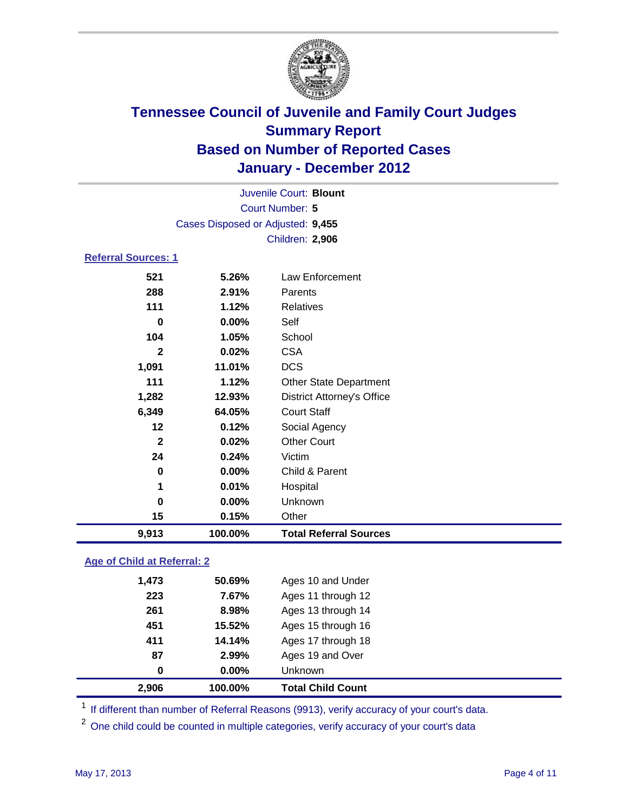

|                 |                                   | Juvenile Court: Blount            |  |  |  |
|-----------------|-----------------------------------|-----------------------------------|--|--|--|
| Court Number: 5 |                                   |                                   |  |  |  |
|                 | Cases Disposed or Adjusted: 9,455 |                                   |  |  |  |
|                 |                                   | Children: 2,906                   |  |  |  |
|                 | <b>Referral Sources: 1</b>        |                                   |  |  |  |
| 521             | 5.26%                             | <b>Law Enforcement</b>            |  |  |  |
| 288             | 2.91%                             | Parents                           |  |  |  |
| 111             | 1.12%                             | <b>Relatives</b>                  |  |  |  |
| $\bf{0}$        | 0.00%                             | Self                              |  |  |  |
| 104             | 1.05%                             | School                            |  |  |  |
| $\overline{2}$  | 0.02%                             | <b>CSA</b>                        |  |  |  |
| 1,091           | 11.01%                            | <b>DCS</b>                        |  |  |  |
| 111             | 1.12%                             | <b>Other State Department</b>     |  |  |  |
| 1,282           | 12.93%                            | <b>District Attorney's Office</b> |  |  |  |
| 6,349           | 64.05%                            | <b>Court Staff</b>                |  |  |  |
| 12              | 0.12%                             | Social Agency                     |  |  |  |
| $\mathbf{2}$    | 0.02%                             | <b>Other Court</b>                |  |  |  |
| 24              | 0.24%                             | Victim                            |  |  |  |
| $\mathbf 0$     | 0.00%                             | Child & Parent                    |  |  |  |
| 1               | 0.01%                             | Hospital                          |  |  |  |
| $\bf{0}$        | 0.00%                             | Unknown                           |  |  |  |
| 15              | 0.15%                             | Other                             |  |  |  |
| 9,913           | 100.00%                           | <b>Total Referral Sources</b>     |  |  |  |
|                 | Age of Child at Referral: 2       |                                   |  |  |  |
| 1,473           | 50.69%                            | Ages 10 and Under                 |  |  |  |
| 223             | 7.67%                             | Ages 11 through 12                |  |  |  |

| 2,906 | 100.00%  | <b>Total Child Count</b> |
|-------|----------|--------------------------|
| 0     | $0.00\%$ | <b>Unknown</b>           |
| 87    | 2.99%    | Ages 19 and Over         |
| 411   | 14.14%   | Ages 17 through 18       |
| 451   | 15.52%   | Ages 15 through 16       |
| 261   | 8.98%    | Ages 13 through 14       |
| 223   | 1.61%    | Ages 11 through 12       |

<sup>1</sup> If different than number of Referral Reasons (9913), verify accuracy of your court's data.

<sup>2</sup> One child could be counted in multiple categories, verify accuracy of your court's data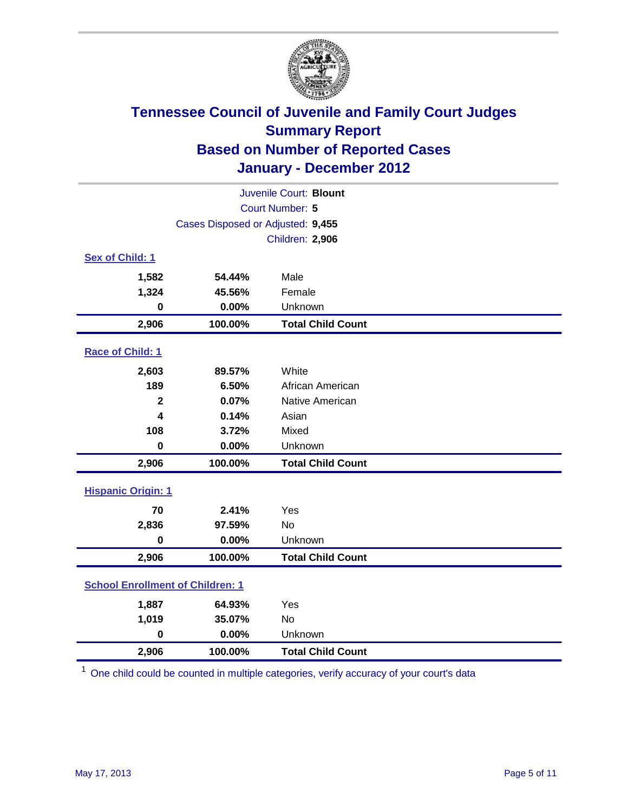

| Juvenile Court: Blount                  |                                   |                          |  |  |  |
|-----------------------------------------|-----------------------------------|--------------------------|--|--|--|
|                                         | Court Number: 5                   |                          |  |  |  |
|                                         | Cases Disposed or Adjusted: 9,455 |                          |  |  |  |
|                                         |                                   | Children: 2,906          |  |  |  |
| Sex of Child: 1                         |                                   |                          |  |  |  |
| 1,582                                   | 54.44%                            | Male                     |  |  |  |
| 1,324                                   | 45.56%                            | Female                   |  |  |  |
| 0                                       | 0.00%                             | Unknown                  |  |  |  |
| 2,906                                   | 100.00%                           | <b>Total Child Count</b> |  |  |  |
| Race of Child: 1                        |                                   |                          |  |  |  |
| 2,603                                   | 89.57%                            | White                    |  |  |  |
| 189                                     | 6.50%                             | African American         |  |  |  |
| $\overline{\mathbf{2}}$                 | 0.07%                             | Native American          |  |  |  |
| 4                                       | 0.14%                             | Asian                    |  |  |  |
| 108                                     | 3.72%                             | Mixed                    |  |  |  |
| $\mathbf 0$                             | 0.00%                             | Unknown                  |  |  |  |
| 2,906                                   | 100.00%                           | <b>Total Child Count</b> |  |  |  |
| <b>Hispanic Origin: 1</b>               |                                   |                          |  |  |  |
| 70                                      | 2.41%                             | Yes                      |  |  |  |
| 2,836                                   | 97.59%                            | <b>No</b>                |  |  |  |
| $\bf{0}$                                | 0.00%                             | Unknown                  |  |  |  |
| 2,906                                   | 100.00%                           | <b>Total Child Count</b> |  |  |  |
| <b>School Enrollment of Children: 1</b> |                                   |                          |  |  |  |
| 1,887                                   | 64.93%                            | Yes                      |  |  |  |
| 1,019                                   | 35.07%                            | <b>No</b>                |  |  |  |
| $\bf{0}$                                | 0.00%                             | Unknown                  |  |  |  |
| 2,906                                   | 100.00%                           | <b>Total Child Count</b> |  |  |  |

<sup>1</sup> One child could be counted in multiple categories, verify accuracy of your court's data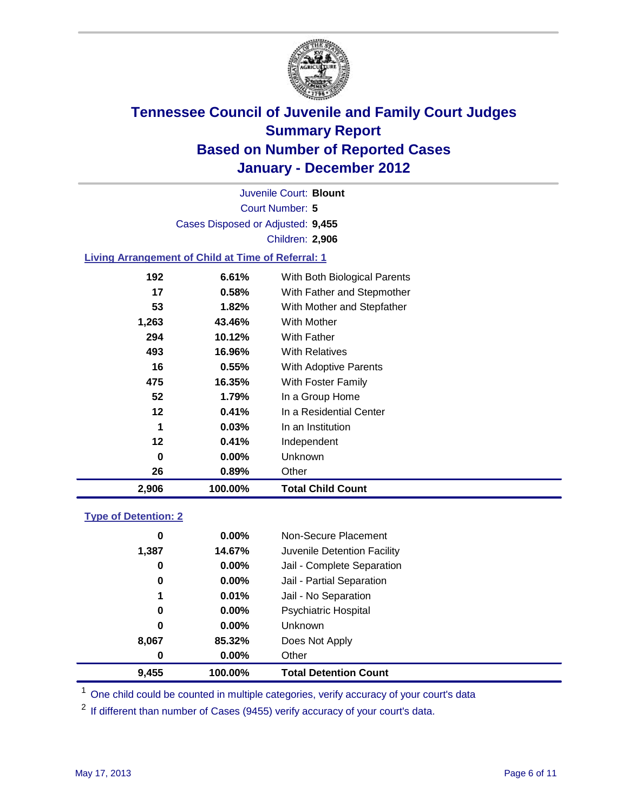

Court Number: **5** Juvenile Court: **Blount** Cases Disposed or Adjusted: **9,455** Children: **2,906**

### **Living Arrangement of Child at Time of Referral: 1**

| 2,906 | 100.00%  | <b>Total Child Count</b>     |
|-------|----------|------------------------------|
| 26    | 0.89%    | Other                        |
| 0     | $0.00\%$ | Unknown                      |
| 12    | 0.41%    | Independent                  |
| 1     | 0.03%    | In an Institution            |
| 12    | 0.41%    | In a Residential Center      |
| 52    | 1.79%    | In a Group Home              |
| 475   | 16.35%   | With Foster Family           |
| 16    | 0.55%    | <b>With Adoptive Parents</b> |
| 493   | 16.96%   | <b>With Relatives</b>        |
| 294   | 10.12%   | With Father                  |
| 1,263 | 43.46%   | With Mother                  |
| 53    | 1.82%    | With Mother and Stepfather   |
| 17    | 0.58%    | With Father and Stepmother   |
| 192   | 6.61%    | With Both Biological Parents |
|       |          |                              |

#### **Type of Detention: 2**

| 9,455 | 100.00%  | <b>Total Detention Count</b> |  |
|-------|----------|------------------------------|--|
| 0     | $0.00\%$ | Other                        |  |
| 8,067 | 85.32%   | Does Not Apply               |  |
| 0     | $0.00\%$ | <b>Unknown</b>               |  |
| 0     | $0.00\%$ | <b>Psychiatric Hospital</b>  |  |
| 1     | 0.01%    | Jail - No Separation         |  |
| 0     | $0.00\%$ | Jail - Partial Separation    |  |
| 0     | 0.00%    | Jail - Complete Separation   |  |
| 1,387 | 14.67%   | Juvenile Detention Facility  |  |
| 0     | $0.00\%$ | Non-Secure Placement         |  |
|       |          |                              |  |

<sup>1</sup> One child could be counted in multiple categories, verify accuracy of your court's data

<sup>2</sup> If different than number of Cases (9455) verify accuracy of your court's data.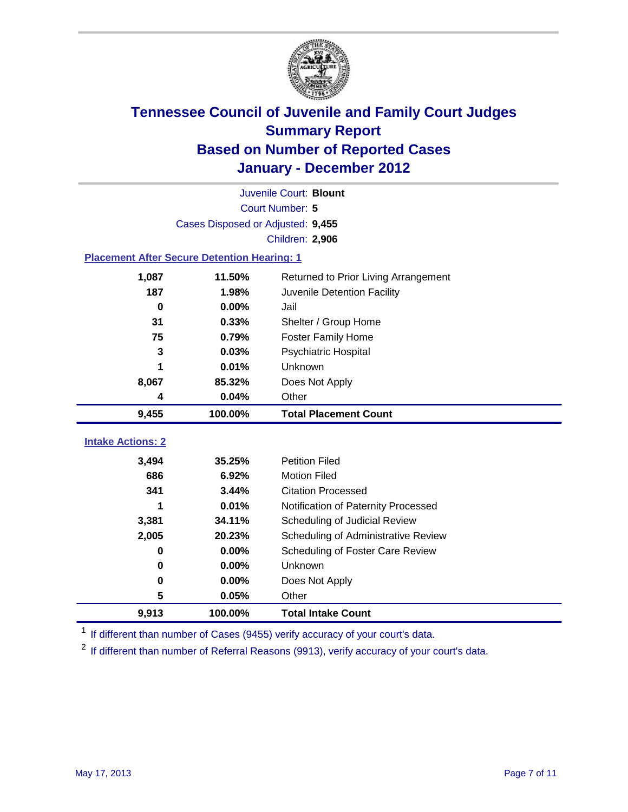

|                                                    | Juvenile Court: Blount            |                                      |  |  |  |
|----------------------------------------------------|-----------------------------------|--------------------------------------|--|--|--|
|                                                    | Court Number: 5                   |                                      |  |  |  |
|                                                    | Cases Disposed or Adjusted: 9,455 |                                      |  |  |  |
|                                                    |                                   | Children: 2,906                      |  |  |  |
| <b>Placement After Secure Detention Hearing: 1</b> |                                   |                                      |  |  |  |
| 1,087                                              | 11.50%                            | Returned to Prior Living Arrangement |  |  |  |
| 187                                                | 1.98%                             | Juvenile Detention Facility          |  |  |  |
| $\bf{0}$                                           | 0.00%                             | Jail                                 |  |  |  |
| 31                                                 | 0.33%                             | Shelter / Group Home                 |  |  |  |
| 75                                                 | 0.79%                             | <b>Foster Family Home</b>            |  |  |  |
| 3                                                  | 0.03%                             | Psychiatric Hospital                 |  |  |  |
|                                                    | 0.01%                             | Unknown                              |  |  |  |
| 8,067                                              | 85.32%                            | Does Not Apply                       |  |  |  |
| 4                                                  | 0.04%                             | Other                                |  |  |  |
| 9,455                                              | 100.00%                           | <b>Total Placement Count</b>         |  |  |  |
| <b>Intake Actions: 2</b>                           |                                   |                                      |  |  |  |
|                                                    |                                   |                                      |  |  |  |
| 3,494                                              | 35.25%                            | <b>Petition Filed</b>                |  |  |  |
| 686                                                | 6.92%                             | <b>Motion Filed</b>                  |  |  |  |
| 341                                                | 3.44%                             | <b>Citation Processed</b>            |  |  |  |
| 1                                                  | 0.01%                             | Notification of Paternity Processed  |  |  |  |
| 3,381                                              | 34.11%                            | Scheduling of Judicial Review        |  |  |  |
| 2,005                                              | 20.23%                            | Scheduling of Administrative Review  |  |  |  |
| 0                                                  | 0.00%                             | Scheduling of Foster Care Review     |  |  |  |
| $\bf{0}$                                           | 0.00%                             | Unknown                              |  |  |  |
| 0                                                  | 0.00%                             | Does Not Apply                       |  |  |  |
| 5                                                  | 0.05%                             | Other                                |  |  |  |
| 9,913                                              | 100.00%                           | <b>Total Intake Count</b>            |  |  |  |

<sup>1</sup> If different than number of Cases (9455) verify accuracy of your court's data.

<sup>2</sup> If different than number of Referral Reasons (9913), verify accuracy of your court's data.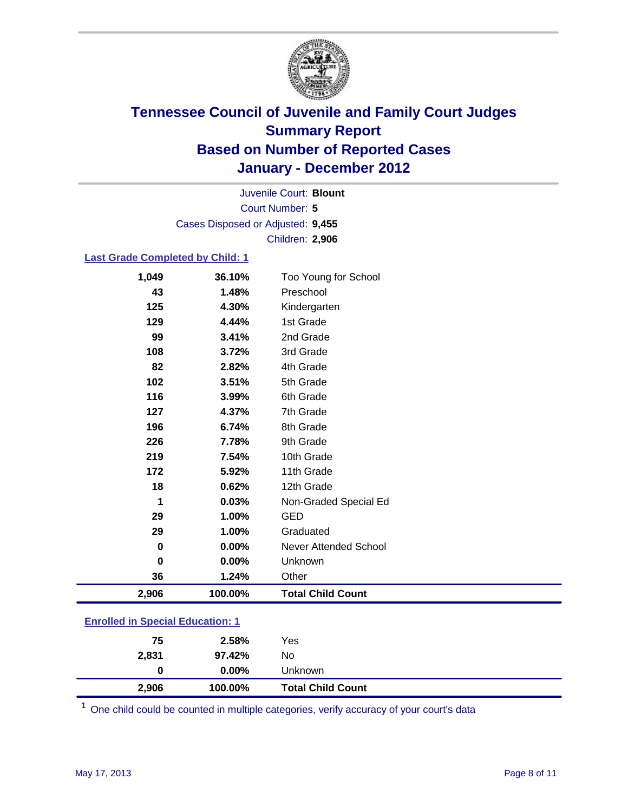

Court Number: **5** Juvenile Court: **Blount** Cases Disposed or Adjusted: **9,455** Children: **2,906**

#### **Last Grade Completed by Child: 1**

| 1,049                                   | 36.10%  | Too Young for School     |
|-----------------------------------------|---------|--------------------------|
| 43                                      | 1.48%   | Preschool                |
| 125                                     | 4.30%   | Kindergarten             |
| 129                                     | 4.44%   | 1st Grade                |
| 99                                      | 3.41%   | 2nd Grade                |
| 108                                     | 3.72%   | 3rd Grade                |
| 82                                      | 2.82%   | 4th Grade                |
| 102                                     | 3.51%   | 5th Grade                |
| 116                                     | 3.99%   | 6th Grade                |
| 127                                     | 4.37%   | 7th Grade                |
| 196                                     | 6.74%   | 8th Grade                |
| 226                                     | 7.78%   | 9th Grade                |
| 219                                     | 7.54%   | 10th Grade               |
| 172                                     | 5.92%   | 11th Grade               |
| 18                                      | 0.62%   | 12th Grade               |
| 1                                       | 0.03%   | Non-Graded Special Ed    |
| 29                                      | 1.00%   | <b>GED</b>               |
| 29                                      | 1.00%   | Graduated                |
| 0                                       | 0.00%   | Never Attended School    |
| 0                                       | 0.00%   | Unknown                  |
| 36                                      | 1.24%   | Other                    |
| 2,906                                   | 100.00% | <b>Total Child Count</b> |
| <b>Enrolled in Special Education: 1</b> |         |                          |

| 2,906          | 100.00%  | <b>Total Child Count</b> |  |
|----------------|----------|--------------------------|--|
| 0              | $0.00\%$ | Unknown                  |  |
| 2,831          | 97.42%   | No                       |  |
| 75             | 2.58%    | Yes                      |  |
| -------------- |          |                          |  |

One child could be counted in multiple categories, verify accuracy of your court's data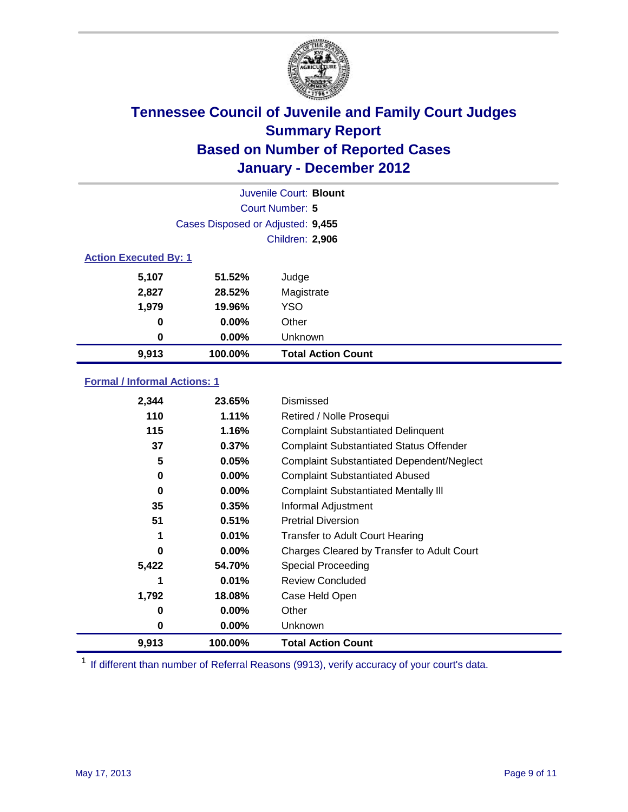

|                              | Juvenile Court: Blount            |                           |  |  |
|------------------------------|-----------------------------------|---------------------------|--|--|
| Court Number: 5              |                                   |                           |  |  |
|                              | Cases Disposed or Adjusted: 9,455 |                           |  |  |
|                              | Children: 2,906                   |                           |  |  |
| <b>Action Executed By: 1</b> |                                   |                           |  |  |
| 5,107                        | 51.52%                            | Judge                     |  |  |
| 2,827                        | 28.52%                            | Magistrate                |  |  |
| 1,979                        | 19.96%                            | <b>YSO</b>                |  |  |
| 0                            | 0.00%                             | Other                     |  |  |
| 0                            | 0.00%                             | Unknown                   |  |  |
| 9,913                        | 100.00%                           | <b>Total Action Count</b> |  |  |

### **Formal / Informal Actions: 1**

| 2,344 | 23.65%   | Dismissed                                        |
|-------|----------|--------------------------------------------------|
| 110   | 1.11%    | Retired / Nolle Prosequi                         |
| 115   | 1.16%    | <b>Complaint Substantiated Delinquent</b>        |
| 37    | 0.37%    | <b>Complaint Substantiated Status Offender</b>   |
| 5     | 0.05%    | <b>Complaint Substantiated Dependent/Neglect</b> |
| 0     | $0.00\%$ | <b>Complaint Substantiated Abused</b>            |
| 0     | $0.00\%$ | <b>Complaint Substantiated Mentally III</b>      |
| 35    | 0.35%    | Informal Adjustment                              |
| 51    | 0.51%    | <b>Pretrial Diversion</b>                        |
| 1     | 0.01%    | <b>Transfer to Adult Court Hearing</b>           |
| 0     | $0.00\%$ | Charges Cleared by Transfer to Adult Court       |
| 5,422 | 54.70%   | <b>Special Proceeding</b>                        |
| 1     | 0.01%    | <b>Review Concluded</b>                          |
| 1,792 | 18.08%   | Case Held Open                                   |
| 0     | $0.00\%$ | Other                                            |
| 0     | $0.00\%$ | <b>Unknown</b>                                   |
| 9,913 | 100.00%  | <b>Total Action Count</b>                        |

<sup>1</sup> If different than number of Referral Reasons (9913), verify accuracy of your court's data.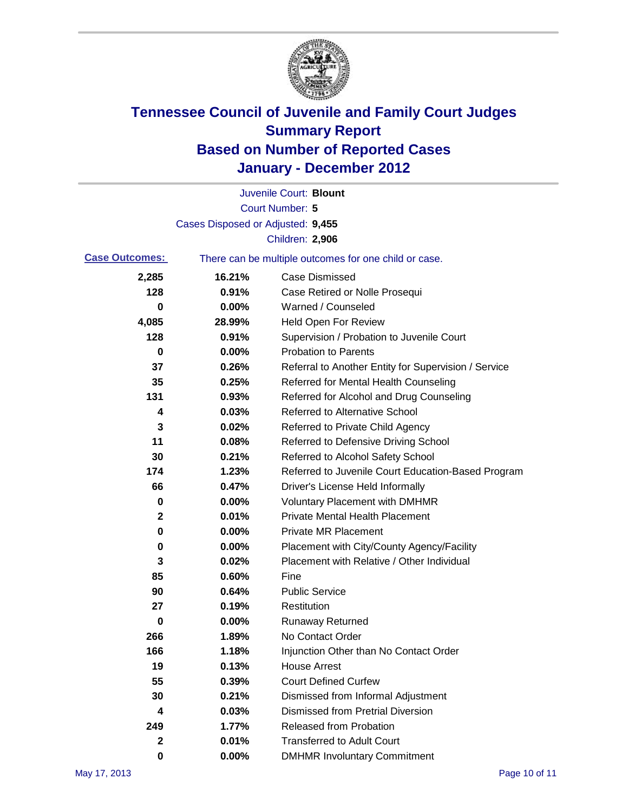

|                       |                                   | Juvenile Court: Blount                                |
|-----------------------|-----------------------------------|-------------------------------------------------------|
|                       |                                   | <b>Court Number: 5</b>                                |
|                       | Cases Disposed or Adjusted: 9,455 |                                                       |
|                       |                                   | Children: 2,906                                       |
| <b>Case Outcomes:</b> |                                   | There can be multiple outcomes for one child or case. |
| 2,285                 | 16.21%                            | <b>Case Dismissed</b>                                 |
| 128                   | 0.91%                             | Case Retired or Nolle Prosequi                        |
| 0                     | 0.00%                             | Warned / Counseled                                    |
| 4,085                 | 28.99%                            | Held Open For Review                                  |
| 128                   | 0.91%                             | Supervision / Probation to Juvenile Court             |
| 0                     | 0.00%                             | <b>Probation to Parents</b>                           |
| 37                    | 0.26%                             | Referral to Another Entity for Supervision / Service  |
| 35                    | 0.25%                             | Referred for Mental Health Counseling                 |
| 131                   | 0.93%                             | Referred for Alcohol and Drug Counseling              |
| 4                     | 0.03%                             | Referred to Alternative School                        |
| 3                     | 0.02%                             | Referred to Private Child Agency                      |
| 11                    | 0.08%                             | Referred to Defensive Driving School                  |
| 30                    | 0.21%                             | Referred to Alcohol Safety School                     |
| 174                   | 1.23%                             | Referred to Juvenile Court Education-Based Program    |
| 66                    | 0.47%                             | Driver's License Held Informally                      |
| 0                     | 0.00%                             | <b>Voluntary Placement with DMHMR</b>                 |
| 2                     | 0.01%                             | <b>Private Mental Health Placement</b>                |
| 0                     | 0.00%                             | <b>Private MR Placement</b>                           |
| 0                     | 0.00%                             | Placement with City/County Agency/Facility            |
| 3                     | 0.02%                             | Placement with Relative / Other Individual            |
| 85                    | 0.60%                             | Fine                                                  |
| 90                    | 0.64%                             | <b>Public Service</b>                                 |
| 27                    | 0.19%                             | Restitution                                           |
| 0                     | 0.00%                             | <b>Runaway Returned</b>                               |
| 266                   | 1.89%                             | No Contact Order                                      |
| 166                   | 1.18%                             | Injunction Other than No Contact Order                |
| 19                    | 0.13%                             | <b>House Arrest</b>                                   |
| 55                    | 0.39%                             | <b>Court Defined Curfew</b>                           |
| 30                    | 0.21%                             | Dismissed from Informal Adjustment                    |
| 4                     | 0.03%                             | <b>Dismissed from Pretrial Diversion</b>              |
| 249                   | 1.77%                             | Released from Probation                               |
| 2                     | 0.01%                             | <b>Transferred to Adult Court</b>                     |
| 0                     | $0.00\%$                          | <b>DMHMR Involuntary Commitment</b>                   |